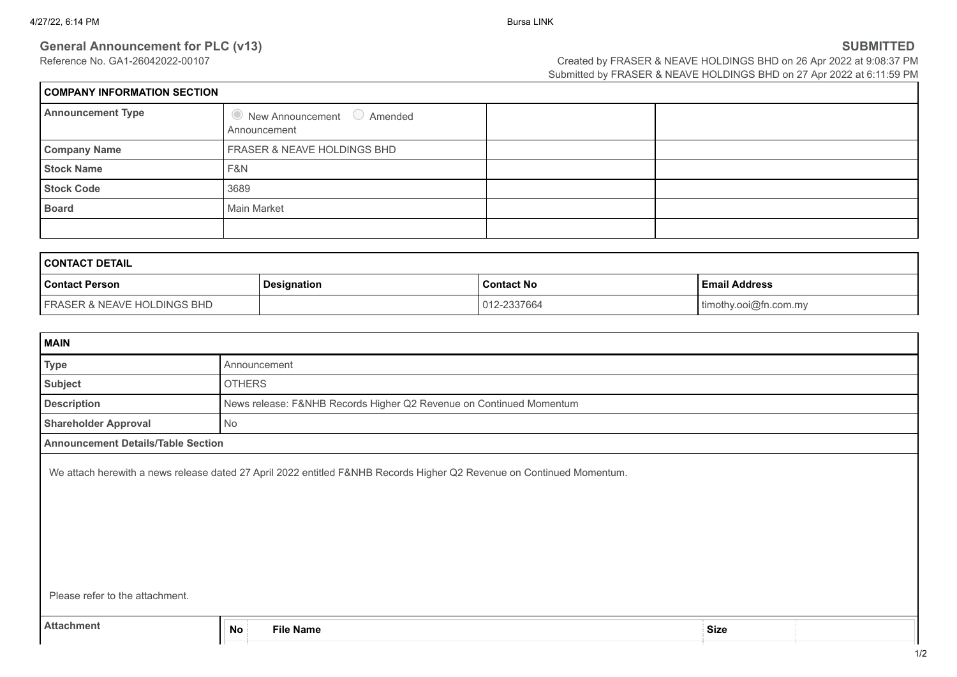**General Announcement for PLC (v13) SUBMITTED**<br>Reference No. GA1-26042022-00107 **SUBMITTED**<br>Created by FRASER & NEAVE HOLDINGS BHD on 26 Apr 2022 at 9:08:37 PM Created by FRASER & NEAVE HOLDINGS BHD on 26 Apr 2022 at 9:08:37 PM Submitted by FRASER & NEAVE HOLDINGS BHD on 27 Apr 2022 at 6:11:59 PM

| COMPANY INFORMATION SECTION |                                                            |  |  |  |
|-----------------------------|------------------------------------------------------------|--|--|--|
| <b>Announcement Type</b>    | $\bullet$ New Announcement $\circ$ Amended<br>Announcement |  |  |  |
| <b>Company Name</b>         | FRASER & NEAVE HOLDINGS BHD                                |  |  |  |
| <b>Stock Name</b>           | F&N                                                        |  |  |  |
| <b>Stock Code</b>           | 3689                                                       |  |  |  |
| <b>Board</b>                | Main Market                                                |  |  |  |
|                             |                                                            |  |  |  |

| <b>I CONTACT DETAIL</b>                |                    |                   |                       |
|----------------------------------------|--------------------|-------------------|-----------------------|
| <b>Contact Person</b>                  | <b>Designation</b> | <b>Contact No</b> | <b>Email Address</b>  |
| <b>FRASER &amp; NEAVE HOLDINGS BHD</b> |                    | 012-2337664       | timothy.ooi@fn.com.my |

| <b>MAIN</b>                                                                                                           |                                                                     |             |  |
|-----------------------------------------------------------------------------------------------------------------------|---------------------------------------------------------------------|-------------|--|
| Type                                                                                                                  | Announcement                                                        |             |  |
| Subject                                                                                                               | <b>OTHERS</b>                                                       |             |  |
| <b>Description</b>                                                                                                    | News release: F&NHB Records Higher Q2 Revenue on Continued Momentum |             |  |
| <b>Shareholder Approval</b>                                                                                           | No                                                                  |             |  |
| <b>Announcement Details/Table Section</b>                                                                             |                                                                     |             |  |
| We attach herewith a news release dated 27 April 2022 entitled F&NHB Records Higher Q2 Revenue on Continued Momentum. |                                                                     |             |  |
| Please refer to the attachment.                                                                                       |                                                                     |             |  |
| <b>Attachment</b>                                                                                                     | <b>No</b><br><b>File Name</b>                                       | <b>Size</b> |  |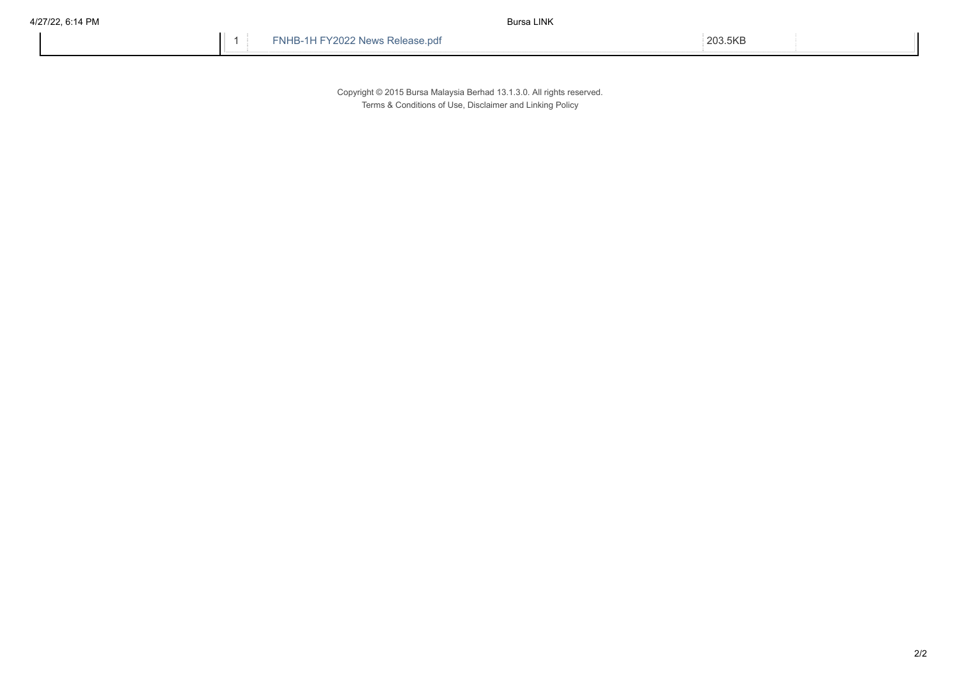1 FNHB-1H FY2022 News Release.pdf 203.5KB

Copyright © 2015 Bursa Malaysia Berhad 13.1.3.0. All rights reserved. Terms & Conditions of Use, Disclaimer and Linking Policy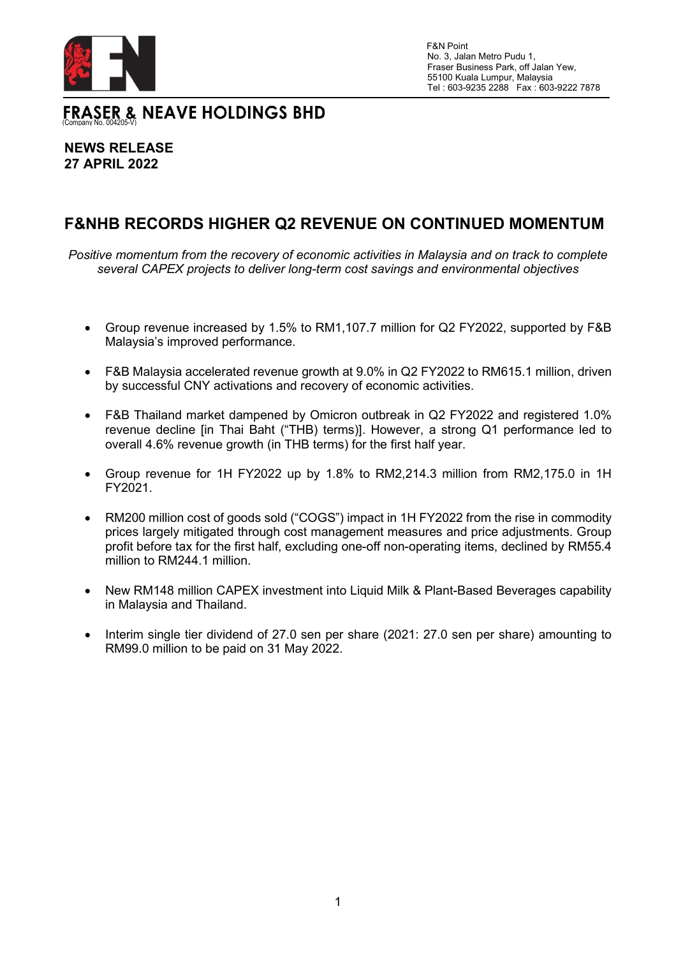

No. 3, Jalan Metro Pudu 1, Fraser Business Park, off Jalan Yew, 55100 Kuala Lumpur, Malaysia Tel : 603-9235 2288 Fax : 603-9222 7878

FRASER & NEAVE HOLDINGS BHD

## **NEWS RELEASE 27 APRIL 2022**

# **F&NHB RECORDS HIGHER Q2 REVENUE ON CONTINUED MOMENTUM**

*Positive momentum from the recovery of economic activities in Malaysia and on track to complete several CAPEX projects to deliver long-term cost savings and environmental objectives*

- Group revenue increased by 1.5% to RM1,107.7 million for Q2 FY2022, supported by F&B Malaysia's improved performance.
- F&B Malaysia accelerated revenue growth at 9.0% in Q2 FY2022 to RM615.1 million, driven by successful CNY activations and recovery of economic activities.
- F&B Thailand market dampened by Omicron outbreak in Q2 FY2022 and registered 1.0% revenue decline [in Thai Baht ("THB) terms)]. However, a strong Q1 performance led to overall 4.6% revenue growth (in THB terms) for the first half year.
- Group revenue for 1H FY2022 up by 1.8% to RM2,214.3 million from RM2,175.0 in 1H FY2021.
- RM200 million cost of goods sold ("COGS") impact in 1H FY2022 from the rise in commodity prices largely mitigated through cost management measures and price adjustments. Group profit before tax for the first half, excluding one-off non-operating items, declined by RM55.4 million to RM244.1 million.
- New RM148 million CAPEX investment into Liquid Milk & Plant-Based Beverages capability in Malaysia and Thailand.
- Interim single tier dividend of 27.0 sen per share (2021: 27.0 sen per share) amounting to RM99.0 million to be paid on 31 May 2022.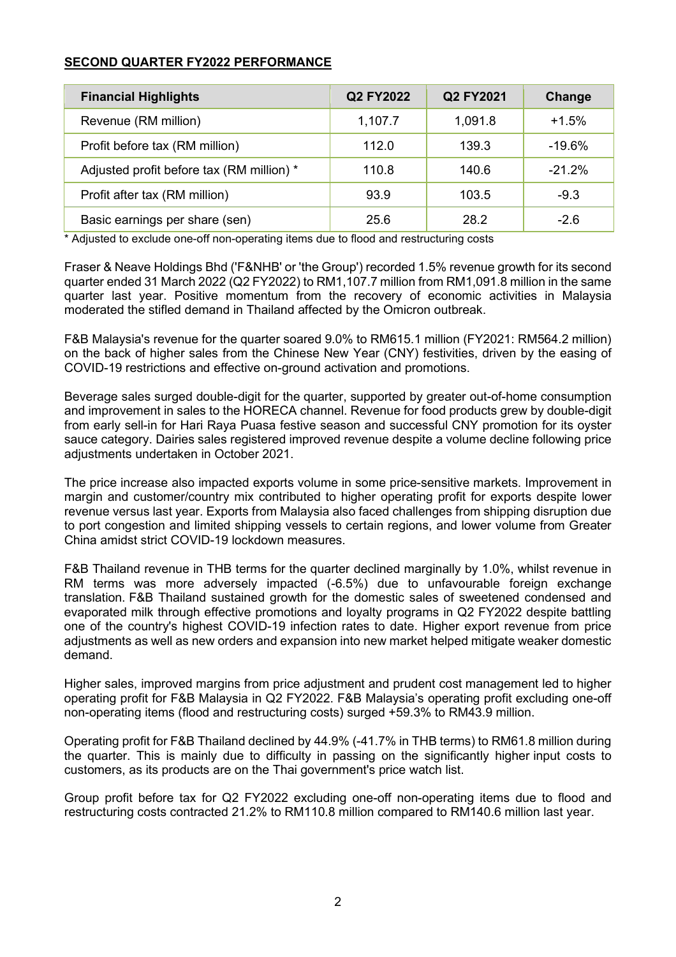## **SECOND QUARTER FY2022 PERFORMANCE**

| <b>Financial Highlights</b>               | Q2 FY2022 | Q2 FY2021 | Change    |
|-------------------------------------------|-----------|-----------|-----------|
| Revenue (RM million)                      | 1,107.7   | 1,091.8   | $+1.5%$   |
| Profit before tax (RM million)            | 112.0     | 139.3     | $-19.6\%$ |
| Adjusted profit before tax (RM million) * | 110.8     | 140.6     | $-21.2\%$ |
| Profit after tax (RM million)             | 93.9      | 103.5     | $-9.3$    |
| Basic earnings per share (sen)            | 25.6      | 28.2      | $-2.6$    |

\* Adjusted to exclude one-off non-operating items due to flood and restructuring costs

Fraser & Neave Holdings Bhd ('F&NHB' or 'the Group') recorded 1.5% revenue growth for its second quarter ended 31 March 2022 (Q2 FY2022) to RM1,107.7 million from RM1,091.8 million in the same quarter last year. Positive momentum from the recovery of economic activities in Malaysia moderated the stifled demand in Thailand affected by the Omicron outbreak.

F&B Malaysia's revenue for the quarter soared 9.0% to RM615.1 million (FY2021: RM564.2 million) on the back of higher sales from the Chinese New Year (CNY) festivities, driven by the easing of COVID-19 restrictions and effective on-ground activation and promotions.

Beverage sales surged double-digit for the quarter, supported by greater out-of-home consumption and improvement in sales to the HORECA channel. Revenue for food products grew by double-digit from early sell-in for Hari Raya Puasa festive season and successful CNY promotion for its oyster sauce category. Dairies sales registered improved revenue despite a volume decline following price adjustments undertaken in October 2021.

The price increase also impacted exports volume in some price-sensitive markets. Improvement in margin and customer/country mix contributed to higher operating profit for exports despite lower revenue versus last year. Exports from Malaysia also faced challenges from shipping disruption due to port congestion and limited shipping vessels to certain regions, and lower volume from Greater China amidst strict COVID-19 lockdown measures.

F&B Thailand revenue in THB terms for the quarter declined marginally by 1.0%, whilst revenue in RM terms was more adversely impacted (-6.5%) due to unfavourable foreign exchange translation. F&B Thailand sustained growth for the domestic sales of sweetened condensed and evaporated milk through effective promotions and loyalty programs in Q2 FY2022 despite battling one of the country's highest COVID-19 infection rates to date. Higher export revenue from price adjustments as well as new orders and expansion into new market helped mitigate weaker domestic demand.

Higher sales, improved margins from price adjustment and prudent cost management led to higher operating profit for F&B Malaysia in Q2 FY2022. F&B Malaysia's operating profit excluding one-off non-operating items (flood and restructuring costs) surged +59.3% to RM43.9 million.

Operating profit for F&B Thailand declined by 44.9% (-41.7% in THB terms) to RM61.8 million during the quarter. This is mainly due to difficulty in passing on the significantly higher input costs to customers, as its products are on the Thai government's price watch list.

Group profit before tax for Q2 FY2022 excluding one-off non-operating items due to flood and restructuring costs contracted 21.2% to RM110.8 million compared to RM140.6 million last year.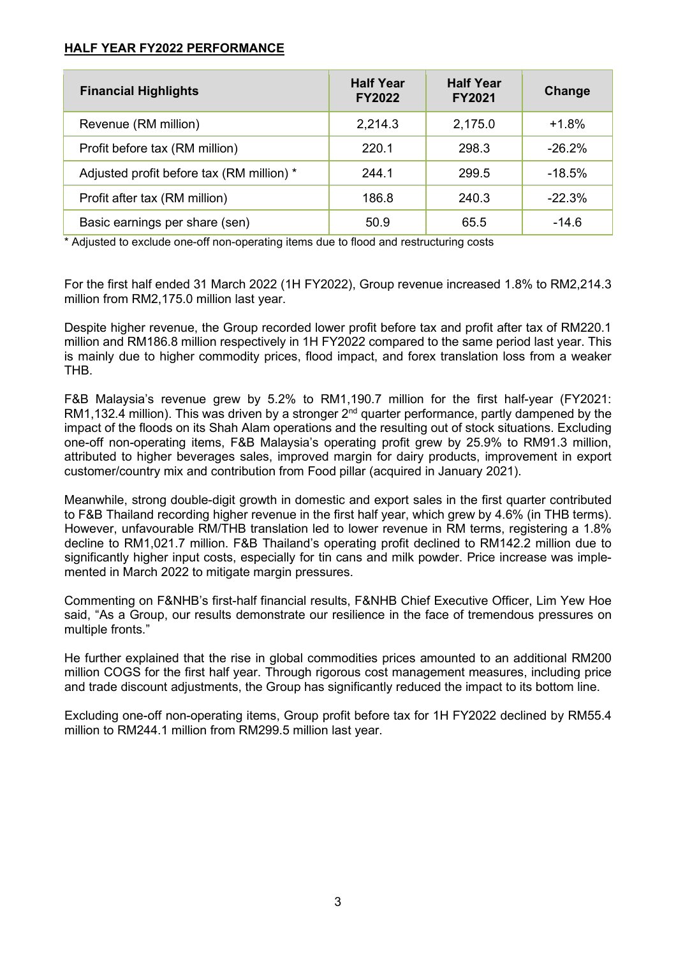## **HALF YEAR FY2022 PERFORMANCE**

| <b>Financial Highlights</b>               | <b>Half Year</b><br><b>FY2022</b> | <b>Half Year</b><br><b>FY2021</b> | Change    |
|-------------------------------------------|-----------------------------------|-----------------------------------|-----------|
| Revenue (RM million)                      | 2,214.3                           | 2,175.0                           | $+1.8%$   |
| Profit before tax (RM million)            | 220.1                             | 298.3                             | $-26.2\%$ |
| Adjusted profit before tax (RM million) * | 244.1                             | 299.5                             | $-18.5%$  |
| Profit after tax (RM million)             | 186.8                             | 240.3                             | $-22.3%$  |
| Basic earnings per share (sen)            | 50.9                              | 65.5                              | $-14.6$   |

\* Adjusted to exclude one-off non-operating items due to flood and restructuring costs

For the first half ended 31 March 2022 (1H FY2022), Group revenue increased 1.8% to RM2,214.3 million from RM2,175.0 million last year.

Despite higher revenue, the Group recorded lower profit before tax and profit after tax of RM220.1 million and RM186.8 million respectively in 1H FY2022 compared to the same period last year. This is mainly due to higher commodity prices, flood impact, and forex translation loss from a weaker THB.

F&B Malaysia's revenue grew by 5.2% to RM1,190.7 million for the first half-year (FY2021: RM1,132.4 million). This was driven by a stronger  $2^{nd}$  quarter performance, partly dampened by the impact of the floods on its Shah Alam operations and the resulting out of stock situations. Excluding one-off non-operating items, F&B Malaysia's operating profit grew by 25.9% to RM91.3 million, attributed to higher beverages sales, improved margin for dairy products, improvement in export customer/country mix and contribution from Food pillar (acquired in January 2021).

Meanwhile, strong double-digit growth in domestic and export sales in the first quarter contributed to F&B Thailand recording higher revenue in the first half year, which grew by 4.6% (in THB terms). However, unfavourable RM/THB translation led to lower revenue in RM terms, registering a 1.8% decline to RM1,021.7 million. F&B Thailand's operating profit declined to RM142.2 million due to significantly higher input costs, especially for tin cans and milk powder. Price increase was implemented in March 2022 to mitigate margin pressures.

Commenting on F&NHB's first-half financial results, F&NHB Chief Executive Officer, Lim Yew Hoe said, "As a Group, our results demonstrate our resilience in the face of tremendous pressures on multiple fronts."

He further explained that the rise in global commodities prices amounted to an additional RM200 million COGS for the first half year. Through rigorous cost management measures, including price and trade discount adjustments, the Group has significantly reduced the impact to its bottom line.

Excluding one-off non-operating items, Group profit before tax for 1H FY2022 declined by RM55.4 million to RM244.1 million from RM299.5 million last year.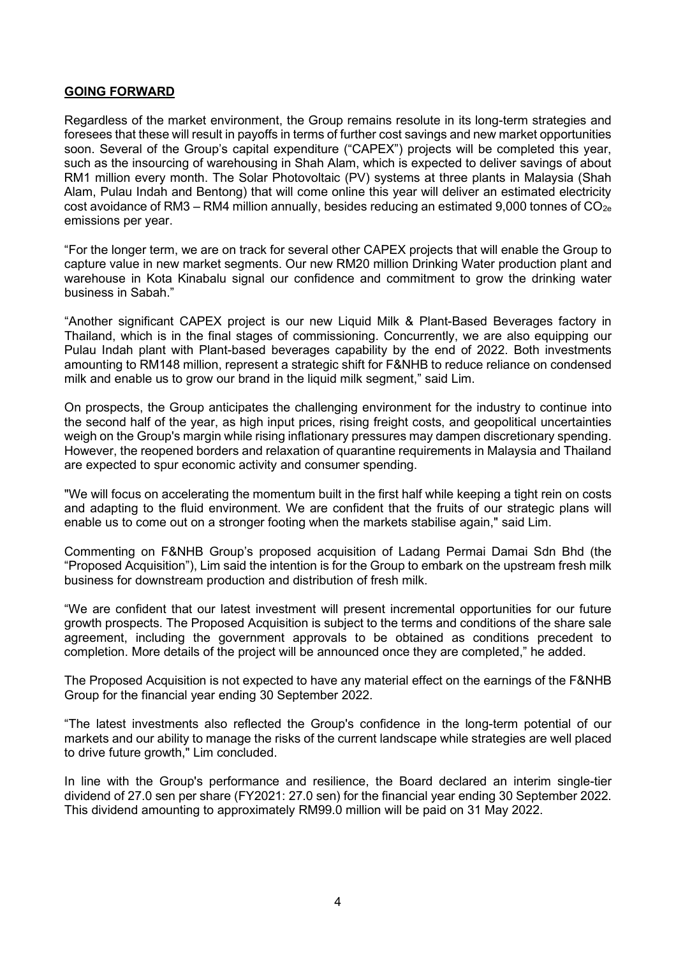### **GOING FORWARD**

Regardless of the market environment, the Group remains resolute in its long-term strategies and foresees that these will result in payoffs in terms of further cost savings and new market opportunities soon. Several of the Group's capital expenditure ("CAPEX") projects will be completed this year, such as the insourcing of warehousing in Shah Alam, which is expected to deliver savings of about RM1 million every month. The Solar Photovoltaic (PV) systems at three plants in Malaysia (Shah Alam, Pulau Indah and Bentong) that will come online this year will deliver an estimated electricity cost avoidance of RM3 – RM4 million annually, besides reducing an estimated 9,000 tonnes of  $CO<sub>2e</sub>$ emissions per year.

"For the longer term, we are on track for several other CAPEX projects that will enable the Group to capture value in new market segments. Our new RM20 million Drinking Water production plant and warehouse in Kota Kinabalu signal our confidence and commitment to grow the drinking water business in Sabah."

"Another significant CAPEX project is our new Liquid Milk & Plant-Based Beverages factory in Thailand, which is in the final stages of commissioning. Concurrently, we are also equipping our Pulau Indah plant with Plant-based beverages capability by the end of 2022. Both investments amounting to RM148 million, represent a strategic shift for F&NHB to reduce reliance on condensed milk and enable us to grow our brand in the liquid milk segment," said Lim.

On prospects, the Group anticipates the challenging environment for the industry to continue into the second half of the year, as high input prices, rising freight costs, and geopolitical uncertainties weigh on the Group's margin while rising inflationary pressures may dampen discretionary spending. However, the reopened borders and relaxation of quarantine requirements in Malaysia and Thailand are expected to spur economic activity and consumer spending.

"We will focus on accelerating the momentum built in the first half while keeping a tight rein on costs and adapting to the fluid environment. We are confident that the fruits of our strategic plans will enable us to come out on a stronger footing when the markets stabilise again," said Lim.

Commenting on F&NHB Group's proposed acquisition of Ladang Permai Damai Sdn Bhd (the "Proposed Acquisition"), Lim said the intention is for the Group to embark on the upstream fresh milk business for downstream production and distribution of fresh milk.

"We are confident that our latest investment will present incremental opportunities for our future growth prospects. The Proposed Acquisition is subject to the terms and conditions of the share sale agreement, including the government approvals to be obtained as conditions precedent to completion. More details of the project will be announced once they are completed," he added.

The Proposed Acquisition is not expected to have any material effect on the earnings of the F&NHB Group for the financial year ending 30 September 2022.

"The latest investments also reflected the Group's confidence in the long-term potential of our markets and our ability to manage the risks of the current landscape while strategies are well placed to drive future growth," Lim concluded.

In line with the Group's performance and resilience, the Board declared an interim single-tier dividend of 27.0 sen per share (FY2021: 27.0 sen) for the financial year ending 30 September 2022. This dividend amounting to approximately RM99.0 million will be paid on 31 May 2022.